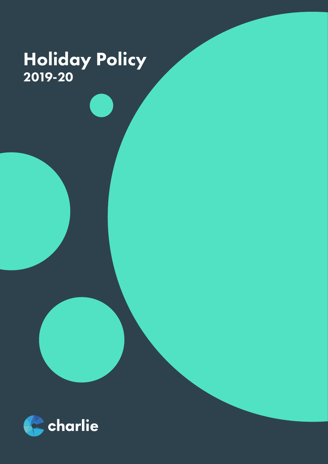### Holiday Policy 2019-20

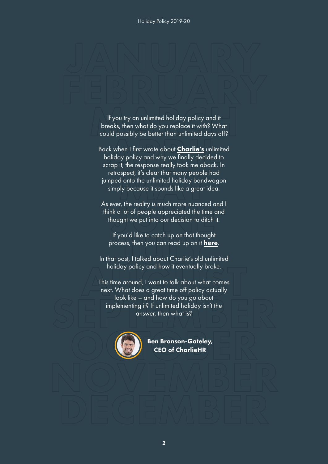If you try an unlimited holiday policy and it breaks, then what do you replace it with? What could possibly be better than unlimited days off?

Back when I first wrote about **[Charlie's](https://www.charliehr.com/?utm_campaign=Holiday+Policy+Asset&utm_source=Holiday+Policy+Asset&utm_medium=Holiday+Policy+Asset)** unlimited holiday policy and why we finally decided to scrap it, the response really took me aback. In retrospect, it's clear that many people had jumped onto the unlimited holiday bandwagon simply because it sounds like a great idea.

As ever, the reality is much more nuanced and I think a lot of people appreciated the time and thought we put into our decision to ditch it.

If you'd like to catch up on that thought process, then you can read up on it **[here](https://www.charliehr.com/blog/we-tried-unlimited-holiday-heres-everything-that-went-wrong/?utm_campaign=Holiday+Policy+Asset&utm_source=Holiday+Policy+Asset&utm_medium=Holiday+Policy+Asset)**.

In that post, I talked about Charlie's old unlimited holiday policy and how it eventually broke.

This time around, I want to talk about what comes next. What does a great time off policy actually look like – and how do you go about implementing it? If unlimited holiday isn't the answer, then what is?



Ben Branson-Gateley, CEO of CharlieHR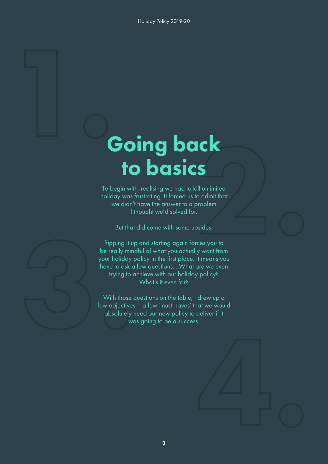### Going back to basics

To begin with, realising we had to kill unlimited holiday was frustrating. It forced us to admit that we didn't have the answer to a problem I thought we'd solved for.

But that did come with some upsides.

Ripping it up and starting again forces you to be really mindful of what you actually want from your holiday policy in the first place. It means you have to ask a few questions... What are we even trying to achieve with our holiday policy? What's it even for?

With those questions on the table, I drew up a few objectives – a few 'must-haves' that we would absolutely need our new policy to deliver if it was going to be a success.



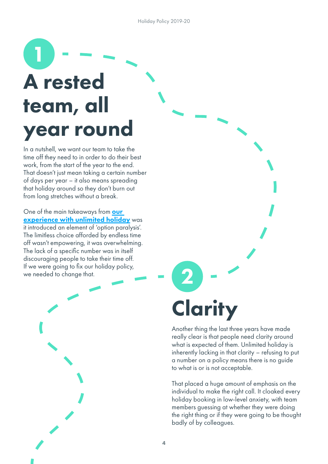### 1 A rested team, all year round

In a nutshell, we want our team to take the time off they need to in order to do their best work, from the start of the year to the end. That doesn't just mean taking a certain number of days per year – it also means spreading that holiday around so they don't burn out from long stretches without a break.

One of the main takeaways from **our** [experience with unlimited holiday](https://www.charliehr.com/blog/we-tried-unlimited-holiday-heres-everything-that-went-wrong/?utm_campaign=Holiday+Policy+Asset&utm_source=Holiday+Policy+Asset&utm_medium=Holiday+Policy+Asset) was it introduced an element of 'option paralysis'. The limitless choice afforded by endless time off wasn't empowering, it was overwhelming. The lack of a specific number was in itself discouraging people to take their time off. If we were going to fix our holiday policy, we needed to change that.

# **Clarity**

2

Another thing the last three years have made really clear is that people need clarity around what is expected of them. Unlimited holiday is inherently lacking in that clarity – refusing to put a number on a policy means there is no guide to what is or is not acceptable.

That placed a huge amount of emphasis on the individual to make the right call. It cloaked every holiday booking in low-level anxiety, with team members guessing at whether they were doing the right thing or if they were going to be thought badly of by colleagues.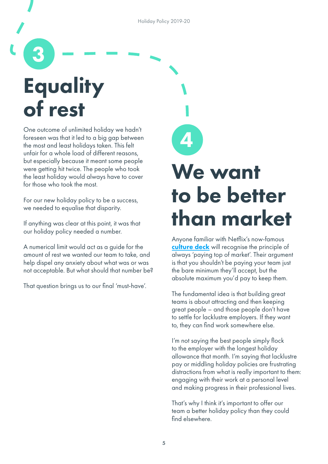Holiday Policy 2019-20

4

## **Equality** of rest

3

One outcome of unlimited holiday we hadn't foreseen was that it led to a big gap between the most and least holidays taken. This felt unfair for a whole load of different reasons, but especially because it meant some people were getting hit twice. The people who took the least holiday would always have to cover for those who took the most.

For our new holiday policy to be a success, we needed to equalise that disparity.

If anything was clear at this point, it was that our holiday policy needed a number.

A numerical limit would act as a guide for the amount of rest we wanted our team to take, and help dispel any anxiety about what was or was not acceptable. But what should that number be?

That question brings us to our final 'must-have'.

### We want to be better than market

Anyone familiar with Netflix's now-famous [culture deck](https://hbr.org/2014/01/how-netflix-reinvented-hr) will recognise the principle of always 'paying top of market'. Their argument is that you shouldn't be paying your team just the bare minimum they'll accept, but the absolute maximum you'd pay to keep them.

The fundamental idea is that building great teams is about attracting and then keeping great people – and those people don't have to settle for lacklustre employers. If they want to, they can find work somewhere else.

I'm not saying the best people simply flock to the employer with the longest holiday allowance that month. I'm saying that lacklustre pay or middling holiday policies are frustrating distractions from what is really important to them: engaging with their work at a personal level and making progress in their professional lives.

That's why I think it's important to offer our team a better holiday policy than they could find elsewhere.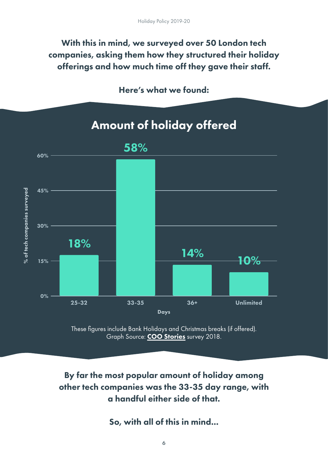#### With this in mind, we surveyed over 50 London tech companies, asking them how they structured their holiday offerings and how much time off they gave their staff.

#### Here's what we found:

### Amount of holiday offered 58% 60% % of tech companies surveyed 45% % of tech companies surveyed 30% 18% 14% 10% 15% 0% 25-32 33-35 36+ Unlimited Days



#### By far the most popular amount of holiday among other tech companies was the 33-35 day range, with a handful either side of that.

So, with all of this in mind...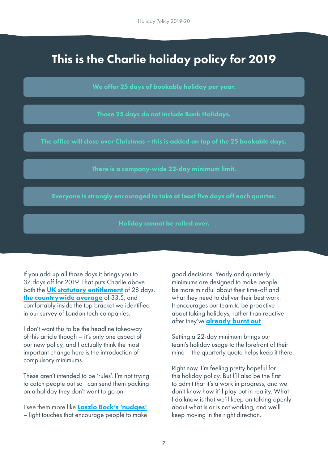### This is the Charlie holiday policy for 2019

We offer 25 days of bookable holiday per year.

Those 25 days do not include Bank Holidays.

The office will close over Christmas – this is added on top of the 25 bookable days.

There is a company-wide 22-day minimum limit.

Everyone is strongly encouraged to take at least five days off each quarter.

Holiday cannot be rolled over.

If you add up all those days it brings you to 37 days off for 2019. That puts Charlie above both the **[UK statutory entitlement](https://www.gov.uk/holiday-entitlement-rights)** of 28 days, [the countrywide average](https://inews.co.uk/inews-lifestyle/work/legal-rights-holiday-entitlement-paid-leave/) of 33.5, and comfortably inside the top bracket we identified in our survey of London tech companies.

I don't want this to be the headline takeaway of this article though – it's only one aspect of our new policy, and I actually think the most important change here is the introduction of compulsory minimums.

These aren't intended to be 'rules'. I'm not trying to catch people out so I can send them packing on a holiday they don't want to go on.

I see them more like [Laszlo Bock's 'nudges'](https://qz.com/work/1415395/after-two-years-in-stealth-mode-the-former-head-of-hr-at-google-reveals-his-new-startup/) – light touches that encourage people to make good decisions. Yearly and quarterly minimums are designed to make people be more mindful about their time-off and what they need to deliver their best work. It encourages our team to be proactive about taking holidays, rather than reactive after they've **[already burnt out](https://www.charliehr.com/blog/how-to-deal-with-burnout-in-your-small-business/).** 

Setting a 22-day minimum brings our team's holiday usage to the forefront of their mind – the quarterly quota helps keep it there.

Right now, I'm feeling pretty hopeful for this holiday policy. But I'll also be the first to admit that it's a work in progress, and we don't know how it'll play out in reality. What I do know is that we'll keep on talking openly about what is or is not working, and we'll keep moving in the right direction.